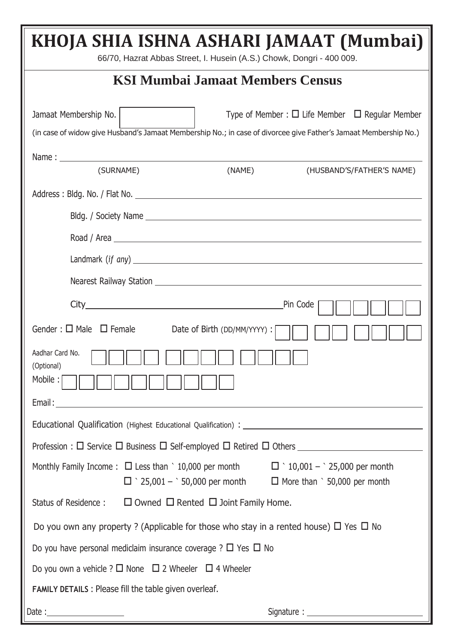| KHOJA SHIA ISHNA ASHARI JAMAAT (Mumbai)<br>66/70, Hazrat Abbas Street, I. Husein (A.S.) Chowk, Dongri - 400 009.                                                                                                                     |  |  |  |  |  |  |  |
|--------------------------------------------------------------------------------------------------------------------------------------------------------------------------------------------------------------------------------------|--|--|--|--|--|--|--|
| <b>KSI Mumbai Jamaat Members Census</b>                                                                                                                                                                                              |  |  |  |  |  |  |  |
| Jamaat Membership No.<br>Type of Member : $\Box$ Life Member $\Box$ Regular Member<br>(in case of widow give Husband's Jamaat Membership No.; in case of divorcee give Father's Jamaat Membership No.)                               |  |  |  |  |  |  |  |
| Name: <u>Name:</u> Name: 2008<br>(SURNAME)<br>(NAME)<br>(HUSBAND'S/FATHER'S NAME)                                                                                                                                                    |  |  |  |  |  |  |  |
|                                                                                                                                                                                                                                      |  |  |  |  |  |  |  |
|                                                                                                                                                                                                                                      |  |  |  |  |  |  |  |
|                                                                                                                                                                                                                                      |  |  |  |  |  |  |  |
| Landmark (if any) <u>and a series of the series of the series of the series of the series of the series of the series of the series of the series of the series of the series of the series of the series of the series of the s</u> |  |  |  |  |  |  |  |
|                                                                                                                                                                                                                                      |  |  |  |  |  |  |  |
|                                                                                                                                                                                                                                      |  |  |  |  |  |  |  |
| Pin Code                                                                                                                                                                                                                             |  |  |  |  |  |  |  |
| Gender : $\square$ Male $\square$ Female<br>Date of Birth (DD/MM/YYYY) : [                                                                                                                                                           |  |  |  |  |  |  |  |
| Aadhar Card No.<br>(Optional)                                                                                                                                                                                                        |  |  |  |  |  |  |  |
| Mobile :                                                                                                                                                                                                                             |  |  |  |  |  |  |  |
| Email:<br><u> 1980 - Johann Barbara, martxa alemaniar argametar a martxa a shekara a shekara a shekara a shekara a shekara</u>                                                                                                       |  |  |  |  |  |  |  |
|                                                                                                                                                                                                                                      |  |  |  |  |  |  |  |
| Profession : □ Service □ Business □ Self-employed □ Retired □ Others ______________________________                                                                                                                                  |  |  |  |  |  |  |  |
| Monthly Family Income: $\Box$ Less than ` 10,000 per month $\Box$ ` 10,001 - ` 25,000 per month<br>$\Box$ \cdot 25,001 - \cdot 50,000 per month $\Box$ More than \cdot 50,000 per month                                              |  |  |  |  |  |  |  |
| Status of Residence : $\square$ Owned $\square$ Rented $\square$ Joint Family Home.                                                                                                                                                  |  |  |  |  |  |  |  |
| Do you own any property? (Applicable for those who stay in a rented house) $\Box$ Yes $\Box$ No                                                                                                                                      |  |  |  |  |  |  |  |
| Do you have personal mediclaim insurance coverage ? $\Box$ Yes $\Box$ No                                                                                                                                                             |  |  |  |  |  |  |  |
| Do you own a vehicle ? $\Box$ None $\Box$ 2 Wheeler $\Box$ 4 Wheeler                                                                                                                                                                 |  |  |  |  |  |  |  |
| <b>FAMILY DETAILS: Please fill the table given overleaf.</b>                                                                                                                                                                         |  |  |  |  |  |  |  |
|                                                                                                                                                                                                                                      |  |  |  |  |  |  |  |